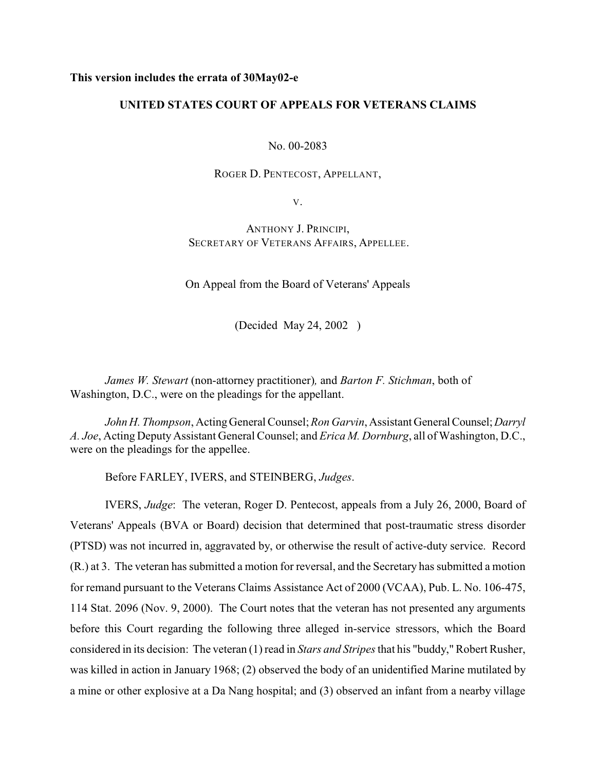## **This version includes the errata of 30May02-e**

# **UNITED STATES COURT OF APPEALS FOR VETERANS CLAIMS**

No. 00-2083

ROGER D. PENTECOST, APPELLANT,

V.

ANTHONY J. PRINCIPI, SECRETARY OF VETERANS AFFAIRS, APPELLEE.

On Appeal from the Board of Veterans' Appeals

(Decided May 24, 2002 )

*James W. Stewart* (non-attorney practitioner)*,* and *Barton F. Stichman*, both of Washington, D.C., were on the pleadings for the appellant.

*John H. Thompson*, Acting General Counsel; *Ron Garvin*, Assistant General Counsel; *Darryl A. Joe*, Acting Deputy Assistant General Counsel; and *Erica M. Dornburg*, all of Washington, D.C., were on the pleadings for the appellee.

Before FARLEY, IVERS, and STEINBERG, *Judges*.

IVERS, *Judge*: The veteran, Roger D. Pentecost, appeals from a July 26, 2000, Board of Veterans' Appeals (BVA or Board) decision that determined that post-traumatic stress disorder (PTSD) was not incurred in, aggravated by, or otherwise the result of active-duty service. Record (R.) at 3. The veteran has submitted a motion for reversal, and the Secretary has submitted a motion for remand pursuant to the Veterans Claims Assistance Act of 2000 (VCAA), Pub. L. No. 106-475, 114 Stat. 2096 (Nov. 9, 2000). The Court notes that the veteran has not presented any arguments before this Court regarding the following three alleged in-service stressors, which the Board considered in its decision: The veteran (1) read in *Stars and Stripes* that his "buddy," Robert Rusher, was killed in action in January 1968; (2) observed the body of an unidentified Marine mutilated by a mine or other explosive at a Da Nang hospital; and (3) observed an infant from a nearby village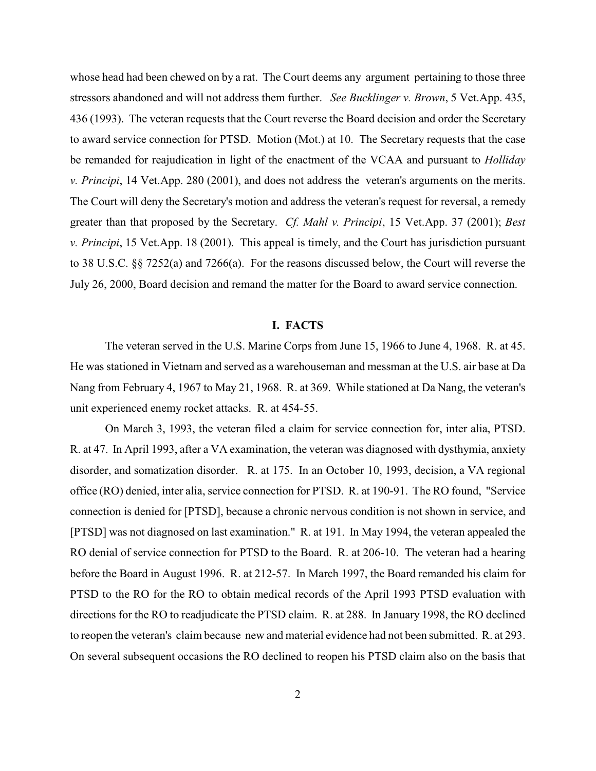whose head had been chewed on by a rat. The Court deems any argument pertaining to those three stressors abandoned and will not address them further. *See Bucklinger v. Brown*, 5 Vet.App. 435, 436 (1993). The veteran requests that the Court reverse the Board decision and order the Secretary to award service connection for PTSD. Motion (Mot.) at 10. The Secretary requests that the case be remanded for reajudication in light of the enactment of the VCAA and pursuant to *Holliday v. Principi*, 14 Vet.App. 280 (2001), and does not address the veteran's arguments on the merits. The Court will deny the Secretary's motion and address the veteran's request for reversal, a remedy greater than that proposed by the Secretary. *Cf. Mahl v. Principi*, 15 Vet.App. 37 (2001); *Best v. Principi*, 15 Vet.App. 18 (2001). This appeal is timely, and the Court has jurisdiction pursuant to 38 U.S.C. §§ 7252(a) and 7266(a). For the reasons discussed below, the Court will reverse the July 26, 2000, Board decision and remand the matter for the Board to award service connection.

### **I. FACTS**

The veteran served in the U.S. Marine Corps from June 15, 1966 to June 4, 1968. R. at 45. He was stationed in Vietnam and served as a warehouseman and messman at the U.S. air base at Da Nang from February 4, 1967 to May 21, 1968. R. at 369. While stationed at Da Nang, the veteran's unit experienced enemy rocket attacks. R. at 454-55.

On March 3, 1993, the veteran filed a claim for service connection for, inter alia, PTSD. R. at 47. In April 1993, after a VA examination, the veteran was diagnosed with dysthymia, anxiety disorder, and somatization disorder. R. at 175. In an October 10, 1993, decision, a VA regional office (RO) denied, inter alia, service connection for PTSD. R. at 190-91. The RO found, "Service connection is denied for [PTSD], because a chronic nervous condition is not shown in service, and [PTSD] was not diagnosed on last examination." R. at 191. In May 1994, the veteran appealed the RO denial of service connection for PTSD to the Board. R. at 206-10. The veteran had a hearing before the Board in August 1996. R. at 212-57. In March 1997, the Board remanded his claim for PTSD to the RO for the RO to obtain medical records of the April 1993 PTSD evaluation with directions for the RO to readjudicate the PTSD claim. R. at 288. In January 1998, the RO declined to reopen the veteran's claim because new and material evidence had not been submitted. R. at 293. On several subsequent occasions the RO declined to reopen his PTSD claim also on the basis that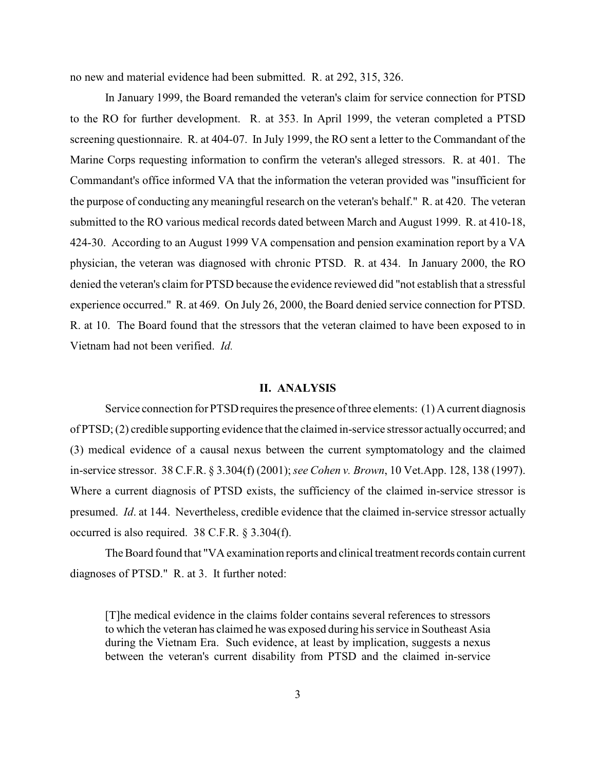no new and material evidence had been submitted. R. at 292, 315, 326.

In January 1999, the Board remanded the veteran's claim for service connection for PTSD to the RO for further development. R. at 353. In April 1999, the veteran completed a PTSD screening questionnaire. R. at 404-07. In July 1999, the RO sent a letter to the Commandant of the Marine Corps requesting information to confirm the veteran's alleged stressors. R. at 401. The Commandant's office informed VA that the information the veteran provided was "insufficient for the purpose of conducting any meaningful research on the veteran's behalf." R. at 420. The veteran submitted to the RO various medical records dated between March and August 1999. R. at 410-18, 424-30. According to an August 1999 VA compensation and pension examination report by a VA physician, the veteran was diagnosed with chronic PTSD. R. at 434. In January 2000, the RO denied the veteran's claim for PTSD because the evidence reviewed did "not establish that a stressful experience occurred." R. at 469. On July 26, 2000, the Board denied service connection for PTSD. R. at 10. The Board found that the stressors that the veteran claimed to have been exposed to in Vietnam had not been verified. *Id.*

### **II. ANALYSIS**

Service connection for PTSD requires the presence of three elements: (1) A current diagnosis of PTSD; (2) credible supporting evidence that the claimed in-service stressor actually occurred; and (3) medical evidence of a causal nexus between the current symptomatology and the claimed in-service stressor. 38 C.F.R. § 3.304(f) (2001);*see Cohen v. Brown*, 10 Vet.App. 128, 138 (1997). Where a current diagnosis of PTSD exists, the sufficiency of the claimed in-service stressor is presumed. *Id*. at 144. Nevertheless, credible evidence that the claimed in-service stressor actually occurred is also required. 38 C.F.R. § 3.304(f).

The Board found that "VA examination reports and clinical treatment records contain current diagnoses of PTSD." R. at 3. It further noted:

[T]he medical evidence in the claims folder contains several references to stressors to which the veteran has claimed he was exposed during hisservice in Southeast Asia during the Vietnam Era. Such evidence, at least by implication, suggests a nexus between the veteran's current disability from PTSD and the claimed in-service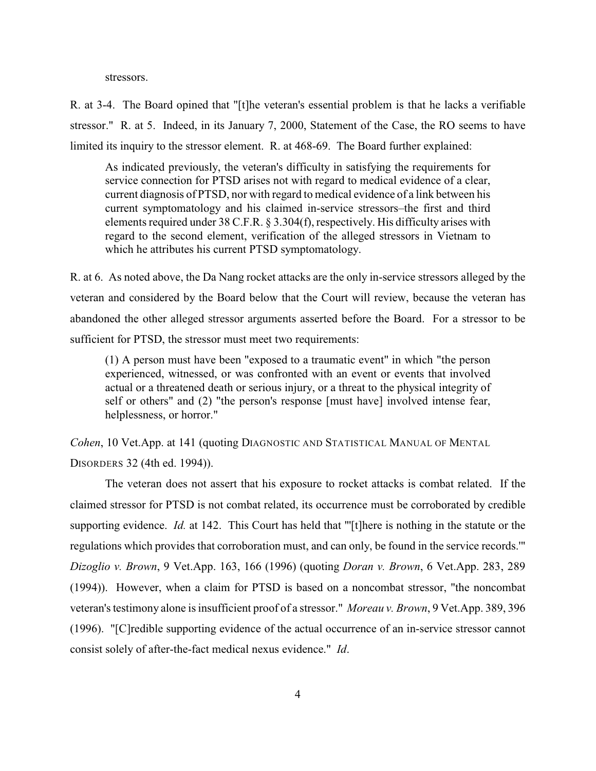stressors.

R. at 3-4. The Board opined that "[t]he veteran's essential problem is that he lacks a verifiable stressor." R. at 5. Indeed, in its January 7, 2000, Statement of the Case, the RO seems to have limited its inquiry to the stressor element. R. at 468-69. The Board further explained:

As indicated previously, the veteran's difficulty in satisfying the requirements for service connection for PTSD arises not with regard to medical evidence of a clear, current diagnosis of PTSD, nor with regard to medical evidence of a link between his current symptomatology and his claimed in-service stressors–the first and third elements required under 38 C.F.R. § 3.304(f), respectively. His difficulty arises with regard to the second element, verification of the alleged stressors in Vietnam to which he attributes his current PTSD symptomatology.

R. at 6.As noted above, the Da Nang rocket attacks are the only in-service stressors alleged by the veteran and considered by the Board below that the Court will review, because the veteran has abandoned the other alleged stressor arguments asserted before the Board. For a stressor to be sufficient for PTSD, the stressor must meet two requirements:

(1) A person must have been "exposed to a traumatic event" in which "the person experienced, witnessed, or was confronted with an event or events that involved actual or a threatened death or serious injury, or a threat to the physical integrity of self or others" and (2) "the person's response [must have] involved intense fear, helplessness, or horror."

*Cohen*, 10 Vet.App. at 141 (quoting DIAGNOSTIC AND STATISTICAL MANUAL OF MENTAL DISORDERS 32 (4th ed. 1994)).

The veteran does not assert that his exposure to rocket attacks is combat related. If the claimed stressor for PTSD is not combat related, its occurrence must be corroborated by credible supporting evidence. *Id.* at 142. This Court has held that "'[t]here is nothing in the statute or the regulations which provides that corroboration must, and can only, be found in the service records.'" *Dizoglio v. Brown*, 9 Vet.App. 163, 166 (1996) (quoting *Doran v. Brown*, 6 Vet.App. 283, 289 (1994)). However, when a claim for PTSD is based on a noncombat stressor, "the noncombat veteran's testimony alone is insufficient proof of a stressor." *Moreau v. Brown*, 9 Vet.App. 389, 396 (1996). "[C]redible supporting evidence of the actual occurrence of an in-service stressor cannot consist solely of after-the-fact medical nexus evidence." *Id*.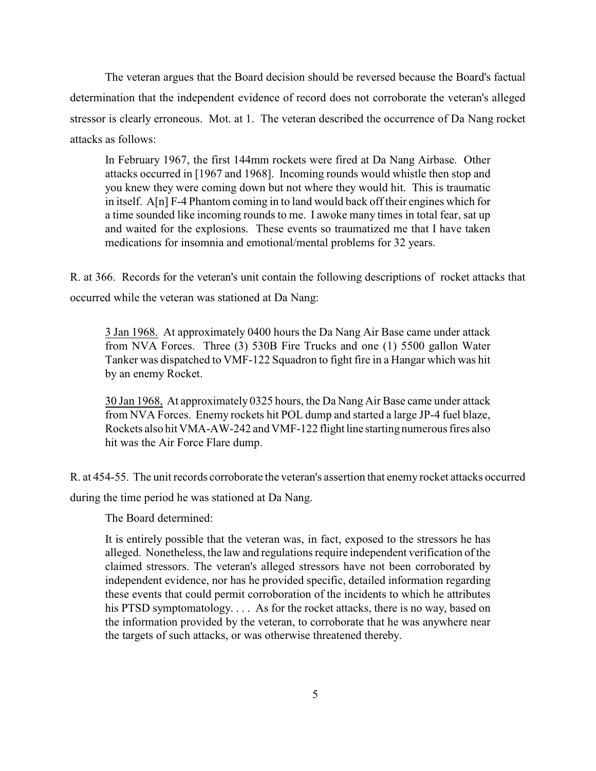The veteran argues that the Board decision should be reversed because the Board's factual determination that the independent evidence of record does not corroborate the veteran's alleged stressor is clearly erroneous. Mot. at 1. The veteran described the occurrence of Da Nang rocket attacks as follows:

In February 1967, the first 144mm rockets were fired at Da Nang Airbase. Other attacks occurred in [1967 and 1968]. Incoming rounds would whistle then stop and you knew they were coming down but not where they would hit. This is traumatic in itself. A[n] F-4 Phantom coming in to land would back off their engines which for a time sounded like incoming rounds to me. I awoke many times in total fear, sat up and waited for the explosions. These events so traumatized me that I have taken medications for insomnia and emotional/mental problems for 32 years.

R. at 366. Records for the veteran's unit contain the following descriptions of rocket attacks that occurred while the veteran was stationed at Da Nang:

3 Jan 1968. At approximately 0400 hours the Da Nang Air Base came under attack from NVA Forces. Three (3) 530B Fire Trucks and one (1) 5500 gallon Water Tanker was dispatched to VMF-122 Squadron to fight fire in a Hangar which was hit by an enemy Rocket.

30 Jan 1968, At approximately 0325 hours, the Da Nang Air Base came under attack from NVA Forces. Enemy rockets hit POL dump and started a large JP-4 fuel blaze, Rockets also hit VMA-AW-242 and VMF-122 flight line starting numerous fires also hit was the Air Force Flare dump.

R. at 454-55. The unit records corroborate the veteran's assertion that enemy rocket attacks occurred during the time period he was stationed at Da Nang.

The Board determined:

It is entirely possible that the veteran was, in fact, exposed to the stressors he has alleged. Nonetheless, the law and regulations require independent verification of the claimed stressors. The veteran's alleged stressors have not been corroborated by independent evidence, nor has he provided specific, detailed information regarding these events that could permit corroboration of the incidents to which he attributes his PTSD symptomatology. . . . As for the rocket attacks, there is no way, based on the information provided by the veteran, to corroborate that he was anywhere near the targets of such attacks, or was otherwise threatened thereby.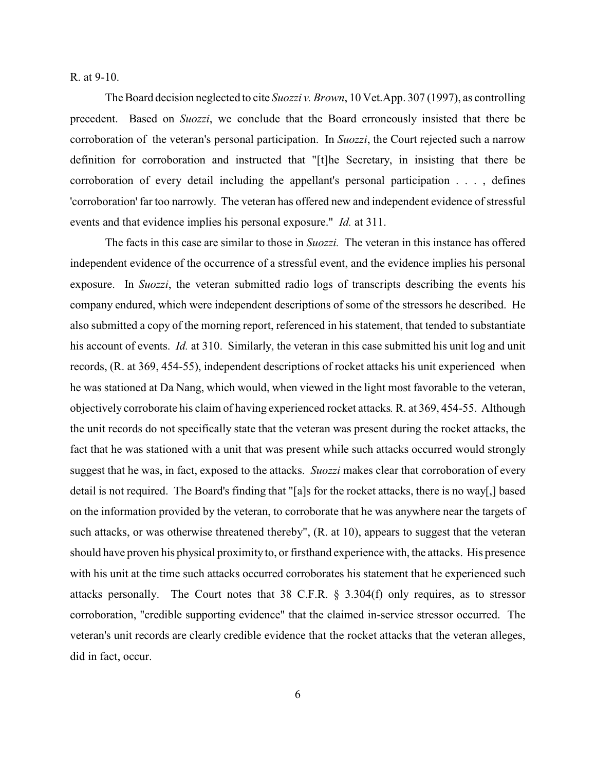R. at 9-10.

The Board decision neglected to cite *Suozzi v. Brown*, 10 Vet.App. 307 (1997), as controlling precedent. Based on *Suozzi*, we conclude that the Board erroneously insisted that there be corroboration of the veteran's personal participation. In *Suozzi*, the Court rejected such a narrow definition for corroboration and instructed that "[t]he Secretary, in insisting that there be corroboration of every detail including the appellant's personal participation . . . , defines 'corroboration' far too narrowly. The veteran has offered new and independent evidence of stressful events and that evidence implies his personal exposure." *Id.* at 311.

The facts in this case are similar to those in *Suozzi.* The veteran in this instance has offered independent evidence of the occurrence of a stressful event, and the evidence implies his personal exposure. In *Suozzi*, the veteran submitted radio logs of transcripts describing the events his company endured, which were independent descriptions of some of the stressors he described. He also submitted a copy of the morning report, referenced in his statement, that tended to substantiate his account of events. *Id.* at 310. Similarly, the veteran in this case submitted his unit log and unit records, (R. at 369, 454-55), independent descriptions of rocket attacks his unit experienced when he was stationed at Da Nang, which would, when viewed in the light most favorable to the veteran, objectively corroborate his claim of having experienced rocket attacks*.* R. at 369, 454-55. Although the unit records do not specifically state that the veteran was present during the rocket attacks, the fact that he was stationed with a unit that was present while such attacks occurred would strongly suggest that he was, in fact, exposed to the attacks. *Suozzi* makes clear that corroboration of every detail is not required. The Board's finding that "[a]s for the rocket attacks, there is no way[,] based on the information provided by the veteran, to corroborate that he was anywhere near the targets of such attacks, or was otherwise threatened thereby", (R. at 10), appears to suggest that the veteran should have proven his physical proximity to, or firsthand experience with, the attacks. His presence with his unit at the time such attacks occurred corroborates his statement that he experienced such attacks personally. The Court notes that 38 C.F.R. § 3.304(f) only requires, as to stressor corroboration, "credible supporting evidence" that the claimed in-service stressor occurred. The veteran's unit records are clearly credible evidence that the rocket attacks that the veteran alleges, did in fact, occur.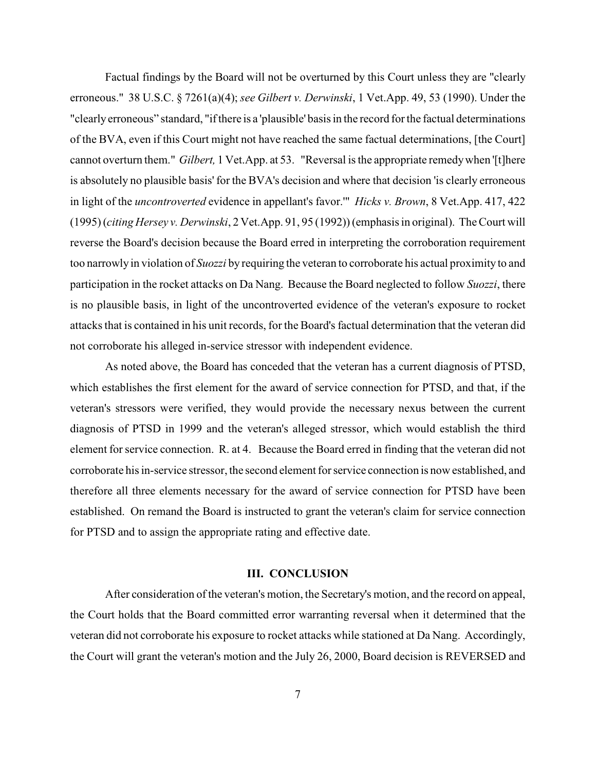Factual findings by the Board will not be overturned by this Court unless they are "clearly erroneous." 38 U.S.C. § 7261(a)(4); *see Gilbert v. Derwinski*, 1 Vet.App. 49, 53 (1990). Under the "clearly erroneous" standard, "if there is a 'plausible' basis in the record for the factual determinations of the BVA, even if this Court might not have reached the same factual determinations, [the Court] cannot overturn them." *Gilbert,* 1 Vet.App. at 53. "Reversal is the appropriate remedy when '[t]here is absolutely no plausible basis' for the BVA's decision and where that decision 'is clearly erroneous in light of the *uncontroverted* evidence in appellant's favor.'" *Hicks v. Brown*, 8 Vet.App. 417, 422 (1995) (*citing Hersey v. Derwinski*, 2 Vet.App. 91, 95 (1992)) (emphasis in original). The Court will reverse the Board's decision because the Board erred in interpreting the corroboration requirement too narrowly in violation of *Suozzi* by requiring the veteran to corroborate his actual proximity to and participation in the rocket attacks on Da Nang. Because the Board neglected to follow *Suozzi*, there is no plausible basis, in light of the uncontroverted evidence of the veteran's exposure to rocket attacks that is contained in his unit records, for the Board's factual determination that the veteran did not corroborate his alleged in-service stressor with independent evidence.

As noted above, the Board has conceded that the veteran has a current diagnosis of PTSD, which establishes the first element for the award of service connection for PTSD, and that, if the veteran's stressors were verified, they would provide the necessary nexus between the current diagnosis of PTSD in 1999 and the veteran's alleged stressor, which would establish the third element for service connection. R. at 4. Because the Board erred in finding that the veteran did not corroborate his in-service stressor, the second element for service connection is now established, and therefore all three elements necessary for the award of service connection for PTSD have been established. On remand the Board is instructed to grant the veteran's claim for service connection for PTSD and to assign the appropriate rating and effective date.

#### **III. CONCLUSION**

After consideration of the veteran's motion, the Secretary's motion, and the record on appeal, the Court holds that the Board committed error warranting reversal when it determined that the veteran did not corroborate his exposure to rocket attacks while stationed at Da Nang. Accordingly, the Court will grant the veteran's motion and the July 26, 2000, Board decision is REVERSED and